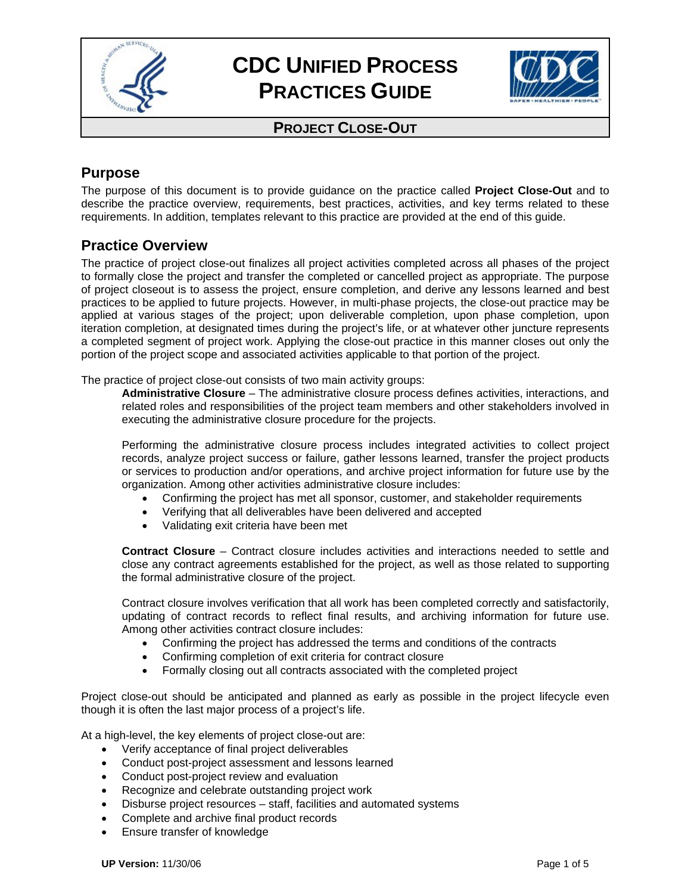



#### **PROJECT CLOSE-OUT**

## **Purpose**

The purpose of this document is to provide guidance on the practice called **Project Close-Out** and to describe the practice overview, requirements, best practices, activities, and key terms related to these requirements. In addition, templates relevant to this practice are provided at the end of this guide.

#### **Practice Overview**

The practice of project close-out finalizes all project activities completed across all phases of the project to formally close the project and transfer the completed or cancelled project as appropriate. The purpose of project closeout is to assess the project, ensure completion, and derive any lessons learned and best practices to be applied to future projects. However, in multi-phase projects, the close-out practice may be applied at various stages of the project; upon deliverable completion, upon phase completion, upon iteration completion, at designated times during the project's life, or at whatever other juncture represents a completed segment of project work. Applying the close-out practice in this manner closes out only the portion of the project scope and associated activities applicable to that portion of the project.

The practice of project close-out consists of two main activity groups:

**Administrative Closure** – The administrative closure process defines activities, interactions, and related roles and responsibilities of the project team members and other stakeholders involved in executing the administrative closure procedure for the projects.

Performing the administrative closure process includes integrated activities to collect project records, analyze project success or failure, gather lessons learned, transfer the project products or services to production and/or operations, and archive project information for future use by the organization. Among other activities administrative closure includes:

- Confirming the project has met all sponsor, customer, and stakeholder requirements
- Verifying that all deliverables have been delivered and accepted
- Validating exit criteria have been met

**Contract Closure** – Contract closure includes activities and interactions needed to settle and close any contract agreements established for the project, as well as those related to supporting the formal administrative closure of the project.

Contract closure involves verification that all work has been completed correctly and satisfactorily, updating of contract records to reflect final results, and archiving information for future use. Among other activities contract closure includes:

- Confirming the project has addressed the terms and conditions of the contracts
- Confirming completion of exit criteria for contract closure
- Formally closing out all contracts associated with the completed project

Project close-out should be anticipated and planned as early as possible in the project lifecycle even though it is often the last major process of a project's life.

At a high-level, the key elements of project close-out are:

- Verify acceptance of final project deliverables
- Conduct post-project assessment and lessons learned
- Conduct post-project review and evaluation
- Recognize and celebrate outstanding project work
- Disburse project resources staff, facilities and automated systems
- Complete and archive final product records
- Ensure transfer of knowledge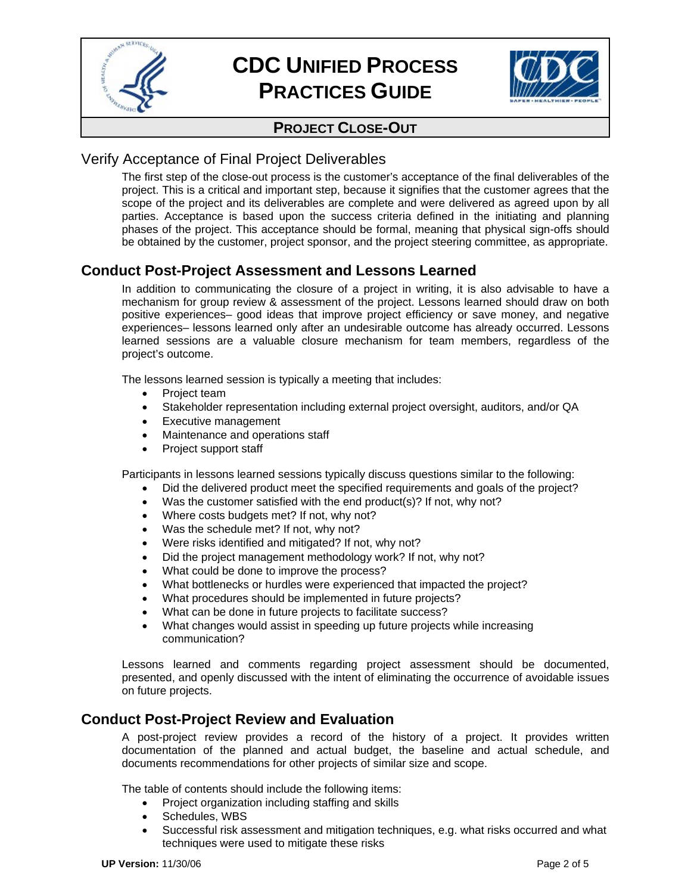



### **PROJECT CLOSE-OUT**

#### Verify Acceptance of Final Project Deliverables

The first step of the close-out process is the customer's acceptance of the final deliverables of the project. This is a critical and important step, because it signifies that the customer agrees that the scope of the project and its deliverables are complete and were delivered as agreed upon by all parties. Acceptance is based upon the success criteria defined in the initiating and planning phases of the project. This acceptance should be formal, meaning that physical sign-offs should be obtained by the customer, project sponsor, and the project steering committee, as appropriate.

## **Conduct Post-Project Assessment and Lessons Learned**

In addition to communicating the closure of a project in writing, it is also advisable to have a mechanism for group review & assessment of the project. Lessons learned should draw on both positive experiences– good ideas that improve project efficiency or save money, and negative experiences– lessons learned only after an undesirable outcome has already occurred. Lessons learned sessions are a valuable closure mechanism for team members, regardless of the project's outcome.

The lessons learned session is typically a meeting that includes:

- Project team
- Stakeholder representation including external project oversight, auditors, and/or QA
- Executive management
- Maintenance and operations staff
- Project support staff

Participants in lessons learned sessions typically discuss questions similar to the following:

- Did the delivered product meet the specified requirements and goals of the project?
- Was the customer satisfied with the end product(s)? If not, why not?
- Where costs budgets met? If not, why not?
- Was the schedule met? If not, why not?
- Were risks identified and mitigated? If not, why not?
- Did the project management methodology work? If not, why not?
- What could be done to improve the process?
- What bottlenecks or hurdles were experienced that impacted the project?
- What procedures should be implemented in future projects?
- What can be done in future projects to facilitate success?
- What changes would assist in speeding up future projects while increasing communication?

Lessons learned and comments regarding project assessment should be documented, presented, and openly discussed with the intent of eliminating the occurrence of avoidable issues on future projects.

#### **Conduct Post-Project Review and Evaluation**

A post-project review provides a record of the history of a project. It provides written documentation of the planned and actual budget, the baseline and actual schedule, and documents recommendations for other projects of similar size and scope.

The table of contents should include the following items:

- Project organization including staffing and skills
- Schedules, WBS
- Successful risk assessment and mitigation techniques, e.g. what risks occurred and what techniques were used to mitigate these risks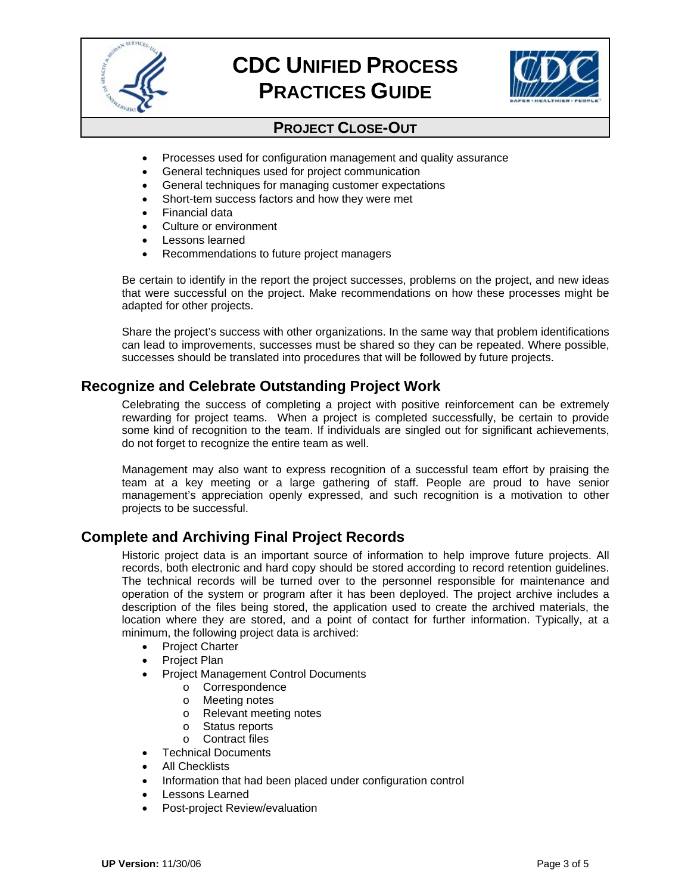



## **PROJECT CLOSE-OUT**

- Processes used for configuration management and quality assurance
- General techniques used for project communication
- General techniques for managing customer expectations
- Short-tem success factors and how they were met
- Financial data
- Culture or environment
- Lessons learned
- Recommendations to future project managers

Be certain to identify in the report the project successes, problems on the project, and new ideas that were successful on the project. Make recommendations on how these processes might be adapted for other projects.

Share the project's success with other organizations. In the same way that problem identifications can lead to improvements, successes must be shared so they can be repeated. Where possible, successes should be translated into procedures that will be followed by future projects.

## **Recognize and Celebrate Outstanding Project Work**

Celebrating the success of completing a project with positive reinforcement can be extremely rewarding for project teams. When a project is completed successfully, be certain to provide some kind of recognition to the team. If individuals are singled out for significant achievements, do not forget to recognize the entire team as well.

Management may also want to express recognition of a successful team effort by praising the team at a key meeting or a large gathering of staff. People are proud to have senior management's appreciation openly expressed, and such recognition is a motivation to other projects to be successful.

#### **Complete and Archiving Final Project Records**

Historic project data is an important source of information to help improve future projects. All records, both electronic and hard copy should be stored according to record retention guidelines. The technical records will be turned over to the personnel responsible for maintenance and operation of the system or program after it has been deployed. The project archive includes a description of the files being stored, the application used to create the archived materials, the location where they are stored, and a point of contact for further information. Typically, at a minimum, the following project data is archived:

- Project Charter
- Project Plan
- Project Management Control Documents
	- o Correspondence
	- o Meeting notes
	- o Relevant meeting notes
	- o Status reports
	- o Contract files
- Technical Documents
- All Checklists
- Information that had been placed under configuration control
- Lessons Learned
- Post-project Review/evaluation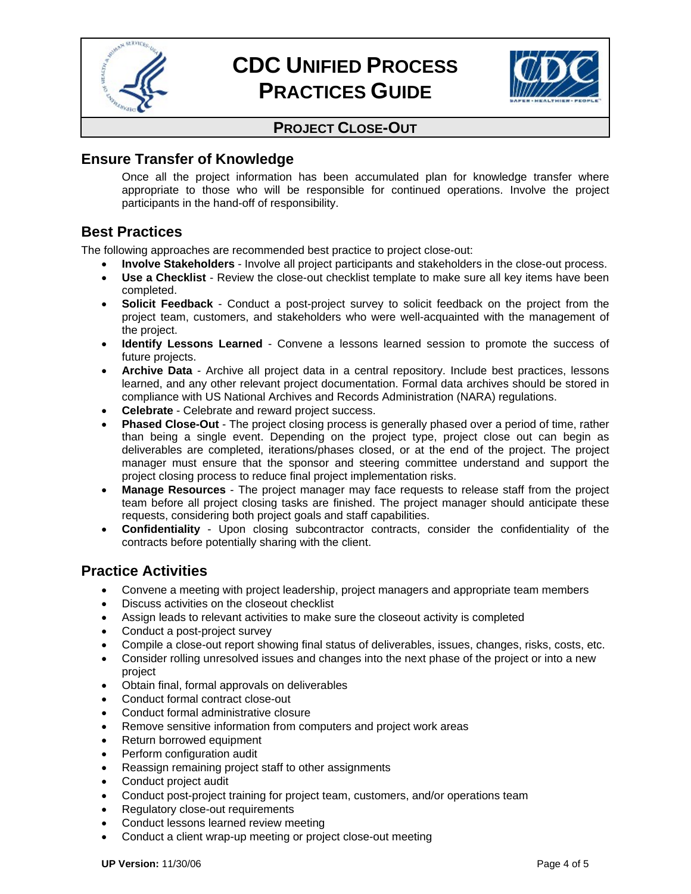



## **PROJECT CLOSE-OUT**

## **Ensure Transfer of Knowledge**

Once all the project information has been accumulated plan for knowledge transfer where appropriate to those who will be responsible for continued operations. Involve the project participants in the hand-off of responsibility.

## **Best Practices**

The following approaches are recommended best practice to project close-out:

- **Involve Stakeholders** Involve all project participants and stakeholders in the close-out process.
- **Use a Checklist** Review the close-out checklist template to make sure all key items have been completed.
- **Solicit Feedback** Conduct a post-project survey to solicit feedback on the project from the project team, customers, and stakeholders who were well-acquainted with the management of the project.
- **Identify Lessons Learned**  Convene a lessons learned session to promote the success of future projects.
- **Archive Data** Archive all project data in a central repository. Include best practices, lessons learned, and any other relevant project documentation. Formal data archives should be stored in compliance with US National Archives and Records Administration (NARA) regulations.
- **Celebrate** Celebrate and reward project success.
- **Phased Close-Out** The project closing process is generally phased over a period of time, rather than being a single event. Depending on the project type, project close out can begin as deliverables are completed, iterations/phases closed, or at the end of the project. The project manager must ensure that the sponsor and steering committee understand and support the project closing process to reduce final project implementation risks.
- **Manage Resources** The project manager may face requests to release staff from the project team before all project closing tasks are finished. The project manager should anticipate these requests, considering both project goals and staff capabilities.
- **Confidentiality** Upon closing subcontractor contracts, consider the confidentiality of the contracts before potentially sharing with the client.

## **Practice Activities**

- Convene a meeting with project leadership, project managers and appropriate team members
- Discuss activities on the closeout checklist
- Assign leads to relevant activities to make sure the closeout activity is completed
- Conduct a post-project survey
- Compile a close-out report showing final status of deliverables, issues, changes, risks, costs, etc.
- Consider rolling unresolved issues and changes into the next phase of the project or into a new project
- Obtain final, formal approvals on deliverables
- Conduct formal contract close-out
- Conduct formal administrative closure
- Remove sensitive information from computers and project work areas
- Return borrowed equipment
- Perform configuration audit
- Reassign remaining project staff to other assignments
- Conduct project audit
- Conduct post-project training for project team, customers, and/or operations team
- Regulatory close-out requirements
- Conduct lessons learned review meeting
- Conduct a client wrap-up meeting or project close-out meeting